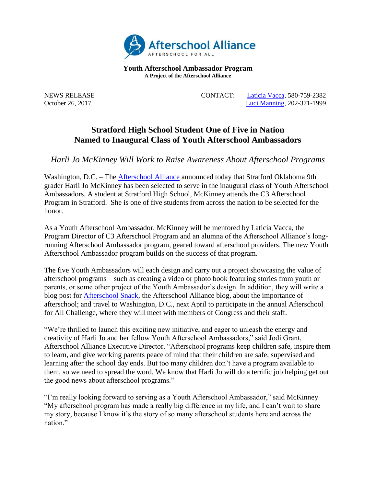

**Youth Afterschool Ambassador Program A Project of the Afterschool Alliance**

NEWS RELEASE CONTACT: [Laticia Vacca,](mailto:laticiavacca@att.net) 580-759-2382 October 26, 2017 [Luci Manning,](mailto:luci@prsolutionsdc.com?subject=2017-18%20Ambassador:%20) 202-371-1999

## **Stratford High School Student One of Five in Nation Named to Inaugural Class of Youth Afterschool Ambassadors**

*Harli Jo McKinney Will Work to Raise Awareness About Afterschool Programs*

Washington, D.C. – The [Afterschool](http://www.afterschoolalliance.org/) Alliance announced today that Stratford Oklahoma 9th grader Harli Jo McKinney has been selected to serve in the inaugural class of Youth Afterschool Ambassadors. A student at Stratford High School, McKinney attends the C3 Afterschool Program in Stratford. She is one of five students from across the nation to be selected for the honor.

As a Youth Afterschool Ambassador, McKinney will be mentored by Laticia Vacca, the Program Director of C3 Afterschool Program and an alumna of the Afterschool Alliance's longrunning Afterschool Ambassador program, geared toward afterschool providers. The new Youth Afterschool Ambassador program builds on the success of that program.

The five Youth Ambassadors will each design and carry out a project showcasing the value of afterschool programs – such as creating a video or photo book featuring stories from youth or parents, or some other project of the Youth Ambassador's design. In addition, they will write a blog post for [Afterschool Snack,](http://www.afterschoolalliance.org/afterschoolsnack/ASnack.cfm) the Afterschool Alliance blog, about the importance of afterschool; and travel to Washington, D.C., next April to participate in the annual Afterschool for All Challenge, where they will meet with members of Congress and their staff.

"We're thrilled to launch this exciting new initiative, and eager to unleash the energy and creativity of Harli Jo and her fellow Youth Afterschool Ambassadors," said Jodi Grant, Afterschool Alliance Executive Director. "Afterschool programs keep children safe, inspire them to learn, and give working parents peace of mind that their children are safe, supervised and learning after the school day ends. But too many children don't have a program available to them, so we need to spread the word. We know that Harli Jo will do a terrific job helping get out the good news about afterschool programs."

"I'm really looking forward to serving as a Youth Afterschool Ambassador," said McKinney "My afterschool program has made a really big difference in my life, and I can't wait to share my story, because I know it's the story of so many afterschool students here and across the nation."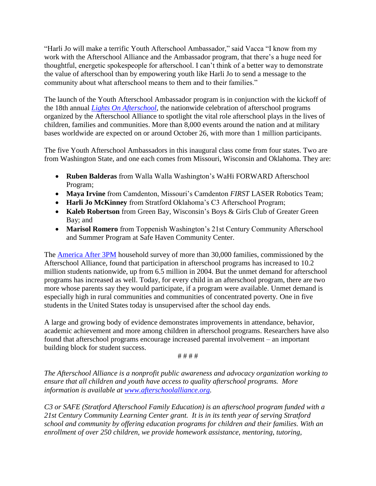"Harli Jo will make a terrific Youth Afterschool Ambassador," said Vacca "I know from my work with the Afterschool Alliance and the Ambassador program, that there's a huge need for thoughtful, energetic spokespeople for afterschool. I can't think of a better way to demonstrate the value of afterschool than by empowering youth like Harli Jo to send a message to the community about what afterschool means to them and to their families."

The launch of the Youth Afterschool Ambassador program is in conjunction with the kickoff of the 18th annual *[Lights On Afterschool](http://www.afterschoolalliance.org/loa.cfm)*, the nationwide celebration of afterschool programs organized by the Afterschool Alliance to spotlight the vital role afterschool plays in the lives of children, families and communities. More than 8,000 events around the nation and at military bases worldwide are expected on or around October 26, with more than 1 million participants.

The five Youth Afterschool Ambassadors in this inaugural class come from four states. Two are from Washington State, and one each comes from Missouri, Wisconsin and Oklahoma. They are:

- **Ruben Balderas** from Walla Walla Washington's WaHi FORWARD Afterschool Program;
- **Maya Irvine** from Camdenton, Missouri's Camdenton *FIRST* LASER Robotics Team;
- **Harli Jo McKinney** from Stratford Oklahoma's C3 Afterschool Program;
- **Kaleb Robertson** from Green Bay, Wisconsin's Boys & Girls Club of Greater Green Bay; and
- **Marisol Romero** from Toppenish Washington's 21st Century Community Afterschool and Summer Program at Safe Haven Community Center.

The [America After 3PM](http://www.afterschoolalliance.org/AA3PM/) household survey of more than 30,000 families, commissioned by the Afterschool Alliance, found that participation in afterschool programs has increased to 10.2 million students nationwide, up from 6.5 million in 2004. But the unmet demand for afterschool programs has increased as well. Today, for every child in an afterschool program, there are two more whose parents say they would participate, if a program were available. Unmet demand is especially high in rural communities and communities of concentrated poverty. One in five students in the United States today is unsupervised after the school day ends.

A large and growing body of evidence demonstrates improvements in attendance, behavior, academic achievement and more among children in afterschool programs. Researchers have also found that afterschool programs encourage increased parental involvement – an important building block for student success.

# # # #

*The Afterschool Alliance is a nonprofit public awareness and advocacy organization working to ensure that all children and youth have access to quality afterschool programs. More information is available at [www.afterschoolalliance.org.](http://www.afterschoolalliance.org/)* 

*C3 or SAFE (Stratford Afterschool Family Education) is an afterschool program funded with a 21st Century Community Learning Center grant. It is in its tenth year of serving Stratford school and community by offering education programs for children and their families. With an enrollment of over 250 children, we provide homework assistance, mentoring, tutoring,*